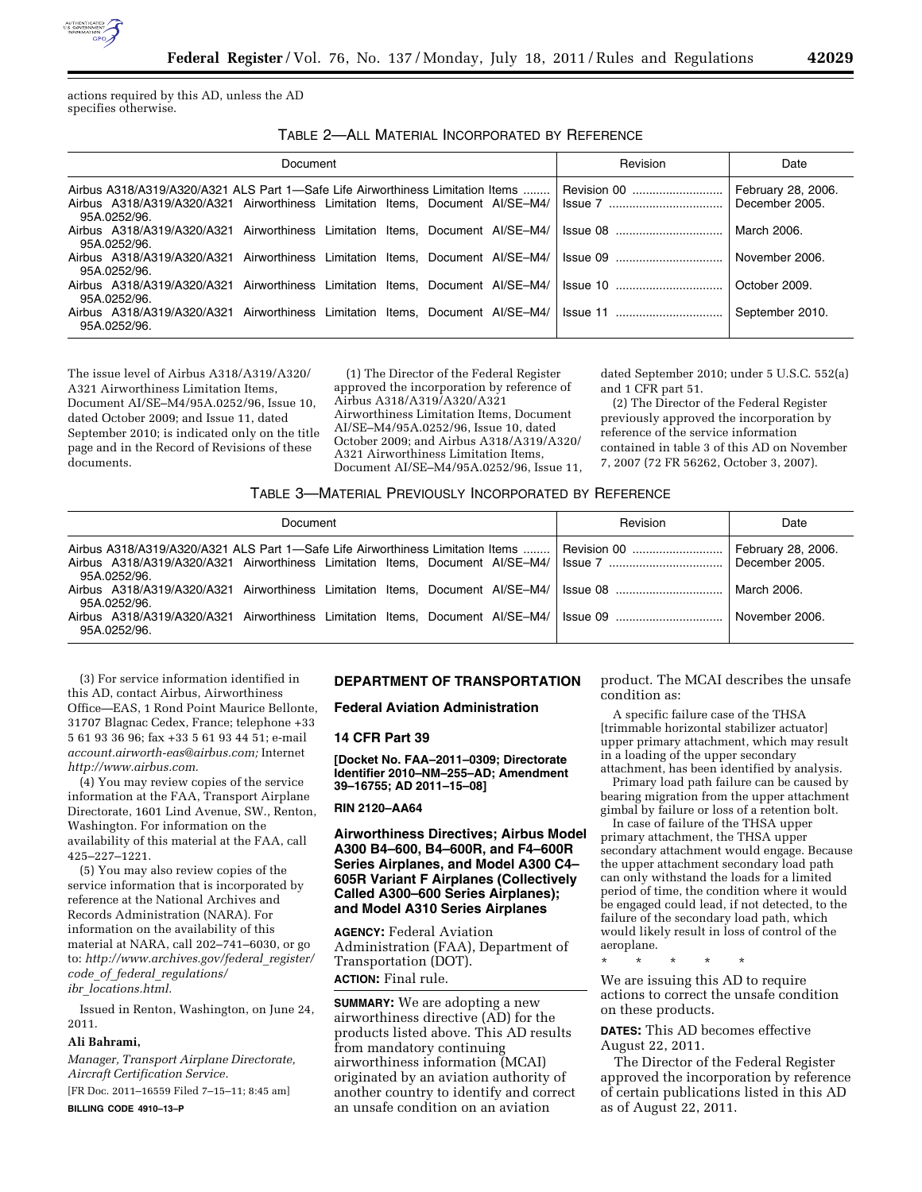

actions required by this AD, unless the AD specifies otherwise.

TABLE 2—ALL MATERIAL INCORPORATED BY REFERENCE

| Document                                                                                                                                                                        | Revision        | Date                                 |
|---------------------------------------------------------------------------------------------------------------------------------------------------------------------------------|-----------------|--------------------------------------|
| Airbus A318/A319/A320/A321 ALS Part 1—Safe Life Airworthiness Limitation Items<br>Airbus A318/A319/A320/A321 Airworthiness Limitation Items. Document AI/SE-M4/<br>95A.0252/96. | Revision 00     | February 28, 2006.<br>December 2005. |
| Airbus A318/A319/A320/A321 Airworthiness Limitation Items. Document AI/SE-M4/<br>95A.0252/96.                                                                                   |                 | March 2006.                          |
| Airbus A318/A319/A320/A321 Airworthiness Limitation Items. Document AI/SE-M4/<br>95A.0252/96.                                                                                   | Issue 09        | November 2006.                       |
| Airbus A318/A319/A320/A321 Airworthiness Limitation Items. Document AI/SE-M4/<br>95A.0252/96.                                                                                   |                 | October 2009.                        |
| Airbus A318/A319/A320/A321 Airworthiness Limitation Items, Document AI/SE-M4/<br>95A.0252/96.                                                                                   | <b>Issue 11</b> | September 2010.                      |

The issue level of Airbus A318/A319/A320/ A321 Airworthiness Limitation Items, Document AI/SE–M4/95A.0252/96, Issue 10, dated October 2009; and Issue 11, dated September 2010; is indicated only on the title page and in the Record of Revisions of these documents.

(1) The Director of the Federal Register approved the incorporation by reference of Airbus A318/A319/A320/A321 Airworthiness Limitation Items, Document AI/SE–M4/95A.0252/96, Issue 10, dated October 2009; and Airbus A318/A319/A320/ A321 Airworthiness Limitation Items, Document AI/SE–M4/95A.0252/96, Issue 11,

dated September 2010; under 5 U.S.C. 552(a) and 1 CFR part 51.

(2) The Director of the Federal Register previously approved the incorporation by reference of the service information contained in table 3 of this AD on November 7, 2007 (72 FR 56262, October 3, 2007).

## TABLE 3—MATERIAL PREVIOUSLY INCORPORATED BY REFERENCE

| Document                                                                                                     |  |  |  |  | Revision | Date |                    |
|--------------------------------------------------------------------------------------------------------------|--|--|--|--|----------|------|--------------------|
| Airbus A318/A319/A320/A321 ALS Part 1—Safe Life Airworthiness Limitation Items    Revision 00<br>95A.0252/96 |  |  |  |  |          |      | February 28, 2006. |
| 95A.0252/96.                                                                                                 |  |  |  |  |          |      | March 2006.        |
| 95A.0252/96.                                                                                                 |  |  |  |  |          |      | November 2006.     |

(3) For service information identified in this AD, contact Airbus, Airworthiness Office—EAS, 1 Rond Point Maurice Bellonte, 31707 Blagnac Cedex, France; telephone +33 5 61 93 36 96; fax +33 5 61 93 44 51; e-mail *[account.airworth-eas@airbus.com;](mailto:account.airworth-eas@airbus.com)* Internet *[http://www.airbus.com.](http://www.airbus.com)* 

(4) You may review copies of the service information at the FAA, Transport Airplane Directorate, 1601 Lind Avenue, SW., Renton, Washington. For information on the availability of this material at the FAA, call 425–227–1221.

(5) You may also review copies of the service information that is incorporated by reference at the National Archives and Records Administration (NARA). For information on the availability of this material at NARA, call 202–741–6030, or go to: *[http://www.archives.gov/federal](http://www.archives.gov/federal_register/code_of_federal_regulations/ibr_locations.html)*\_*register/ code*\_*of*\_*federal*\_*[regulations/](http://www.archives.gov/federal_register/code_of_federal_regulations/ibr_locations.html) ibr*\_*[locations.html.](http://www.archives.gov/federal_register/code_of_federal_regulations/ibr_locations.html)* 

Issued in Renton, Washington, on June 24, 2011.

### **Ali Bahrami,**

*Manager, Transport Airplane Directorate, Aircraft Certification Service.*  [FR Doc. 2011–16559 Filed 7–15–11; 8:45 am]

**BILLING CODE 4910–13–P** 

# **DEPARTMENT OF TRANSPORTATION**

**Federal Aviation Administration** 

#### **14 CFR Part 39**

**[Docket No. FAA–2011–0309; Directorate Identifier 2010–NM–255–AD; Amendment 39–16755; AD 2011–15–08]** 

#### **RIN 2120–AA64**

## **Airworthiness Directives; Airbus Model A300 B4–600, B4–600R, and F4–600R Series Airplanes, and Model A300 C4– 605R Variant F Airplanes (Collectively Called A300–600 Series Airplanes); and Model A310 Series Airplanes**

**AGENCY:** Federal Aviation Administration (FAA), Department of Transportation (DOT). **ACTION:** Final rule.

**SUMMARY:** We are adopting a new airworthiness directive (AD) for the products listed above. This AD results from mandatory continuing airworthiness information (MCAI) originated by an aviation authority of another country to identify and correct an unsafe condition on an aviation

product. The MCAI describes the unsafe condition as:

A specific failure case of the THSA [trimmable horizontal stabilizer actuator] upper primary attachment, which may result in a loading of the upper secondary attachment, has been identified by analysis.

Primary load path failure can be caused by bearing migration from the upper attachment gimbal by failure or loss of a retention bolt.

In case of failure of the THSA upper primary attachment, the THSA upper secondary attachment would engage. Because the upper attachment secondary load path can only withstand the loads for a limited period of time, the condition where it would be engaged could lead, if not detected, to the failure of the secondary load path, which would likely result in loss of control of the aeroplane.

\* \* \* \* \*

We are issuing this AD to require actions to correct the unsafe condition on these products.

**DATES:** This AD becomes effective August 22, 2011.

The Director of the Federal Register approved the incorporation by reference of certain publications listed in this AD as of August 22, 2011.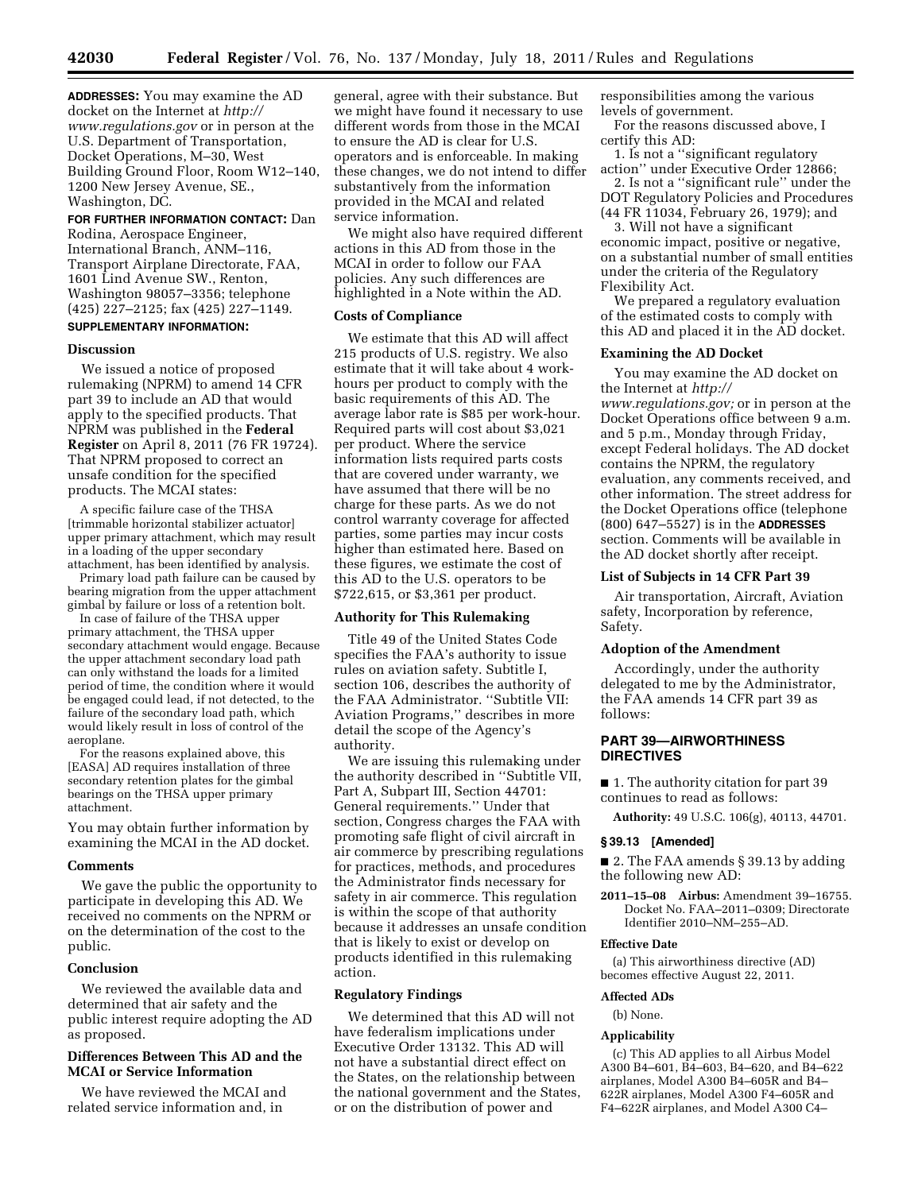**ADDRESSES:** You may examine the AD docket on the Internet at *[http://](http://www.regulations.gov)  [www.regulations.gov](http://www.regulations.gov)* or in person at the U.S. Department of Transportation, Docket Operations, M–30, West Building Ground Floor, Room W12–140, 1200 New Jersey Avenue, SE., Washington, DC.

### **FOR FURTHER INFORMATION CONTACT:** Dan

Rodina, Aerospace Engineer, International Branch, ANM–116, Transport Airplane Directorate, FAA, 1601 Lind Avenue SW., Renton, Washington 98057–3356; telephone (425) 227–2125; fax (425) 227–1149. **SUPPLEMENTARY INFORMATION:** 

### **Discussion**

We issued a notice of proposed rulemaking (NPRM) to amend 14 CFR part 39 to include an AD that would apply to the specified products. That NPRM was published in the **Federal Register** on April 8, 2011 (76 FR 19724). That NPRM proposed to correct an unsafe condition for the specified products. The MCAI states:

A specific failure case of the THSA [trimmable horizontal stabilizer actuator] upper primary attachment, which may result in a loading of the upper secondary attachment, has been identified by analysis.

Primary load path failure can be caused by bearing migration from the upper attachment gimbal by failure or loss of a retention bolt.

In case of failure of the THSA upper primary attachment, the THSA upper secondary attachment would engage. Because the upper attachment secondary load path can only withstand the loads for a limited period of time, the condition where it would be engaged could lead, if not detected, to the failure of the secondary load path, which would likely result in loss of control of the aeroplane.

For the reasons explained above, this [EASA] AD requires installation of three secondary retention plates for the gimbal bearings on the THSA upper primary attachment.

You may obtain further information by examining the MCAI in the AD docket.

### **Comments**

We gave the public the opportunity to participate in developing this AD. We received no comments on the NPRM or on the determination of the cost to the public.

## **Conclusion**

We reviewed the available data and determined that air safety and the public interest require adopting the AD as proposed.

## **Differences Between This AD and the MCAI or Service Information**

We have reviewed the MCAI and related service information and, in

general, agree with their substance. But we might have found it necessary to use different words from those in the MCAI to ensure the AD is clear for U.S. operators and is enforceable. In making these changes, we do not intend to differ substantively from the information provided in the MCAI and related service information.

We might also have required different actions in this AD from those in the MCAI in order to follow our FAA policies. Any such differences are highlighted in a Note within the AD.

### **Costs of Compliance**

We estimate that this AD will affect 215 products of U.S. registry. We also estimate that it will take about 4 workhours per product to comply with the basic requirements of this AD. The average labor rate is \$85 per work-hour. Required parts will cost about \$3,021 per product. Where the service information lists required parts costs that are covered under warranty, we have assumed that there will be no charge for these parts. As we do not control warranty coverage for affected parties, some parties may incur costs higher than estimated here. Based on these figures, we estimate the cost of this AD to the U.S. operators to be \$722,615, or \$3,361 per product.

### **Authority for This Rulemaking**

Title 49 of the United States Code specifies the FAA's authority to issue rules on aviation safety. Subtitle I, section 106, describes the authority of the FAA Administrator. ''Subtitle VII: Aviation Programs,'' describes in more detail the scope of the Agency's authority.

We are issuing this rulemaking under the authority described in ''Subtitle VII, Part A, Subpart III, Section 44701: General requirements.'' Under that section, Congress charges the FAA with promoting safe flight of civil aircraft in air commerce by prescribing regulations for practices, methods, and procedures the Administrator finds necessary for safety in air commerce. This regulation is within the scope of that authority because it addresses an unsafe condition that is likely to exist or develop on products identified in this rulemaking action.

## **Regulatory Findings**

We determined that this AD will not have federalism implications under Executive Order 13132. This AD will not have a substantial direct effect on the States, on the relationship between the national government and the States, or on the distribution of power and

responsibilities among the various levels of government.

For the reasons discussed above, I certify this AD:

1. Is not a ''significant regulatory action'' under Executive Order 12866;

2. Is not a ''significant rule'' under the DOT Regulatory Policies and Procedures (44 FR 11034, February 26, 1979); and

3. Will not have a significant economic impact, positive or negative, on a substantial number of small entities under the criteria of the Regulatory Flexibility Act.

We prepared a regulatory evaluation of the estimated costs to comply with this AD and placed it in the AD docket.

### **Examining the AD Docket**

You may examine the AD docket on the Internet at *[http://](http://www.regulations.gov)* 

*[www.regulations.gov;](http://www.regulations.gov)* or in person at the Docket Operations office between 9 a.m. and 5 p.m., Monday through Friday, except Federal holidays. The AD docket contains the NPRM, the regulatory evaluation, any comments received, and other information. The street address for the Docket Operations office (telephone (800) 647–5527) is in the **ADDRESSES** section. Comments will be available in the AD docket shortly after receipt.

## **List of Subjects in 14 CFR Part 39**

Air transportation, Aircraft, Aviation safety, Incorporation by reference, Safety.

### **Adoption of the Amendment**

Accordingly, under the authority delegated to me by the Administrator, the FAA amends 14 CFR part 39 as follows:

### **PART 39—AIRWORTHINESS DIRECTIVES**

■ 1. The authority citation for part 39 continues to read as follows:

**Authority:** 49 U.S.C. 106(g), 40113, 44701.

## **§ 39.13 [Amended]**

■ 2. The FAA amends § 39.13 by adding the following new AD:

**2011–15–08 Airbus:** Amendment 39–16755. Docket No. FAA–2011–0309; Directorate Identifier 2010–NM–255–AD.

#### **Effective Date**

(a) This airworthiness directive (AD) becomes effective August 22, 2011.

#### **Affected ADs**

(b) None.

## **Applicability**

(c) This AD applies to all Airbus Model A300 B4–601, B4–603, B4–620, and B4–622 airplanes, Model A300 B4–605R and B4– 622R airplanes, Model A300 F4–605R and F4–622R airplanes, and Model A300 C4–